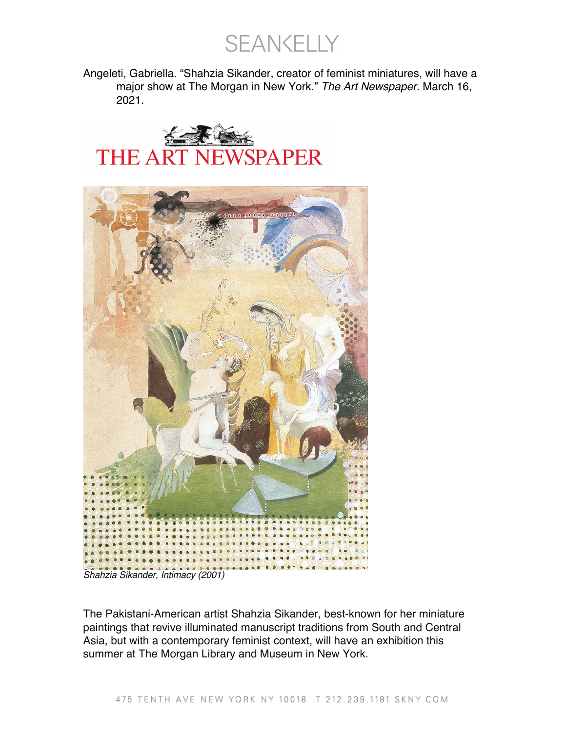SEANKELLY

Angeleti, Gabriella. "Shahzia Sikander, creator of feminist miniatures, will have a major show at The Morgan in New York." *The Art Newspaper*. March 16, 2021.





*Shahzia Sikander, Intimacy (2001)*

The Pakistani-American artist Shahzia Sikander, best-known for her miniature paintings that revive illuminated manuscript traditions from South and Central Asia, but with a contemporary feminist context, will have an exhibition this summer at The Morgan Library and Museum in New York.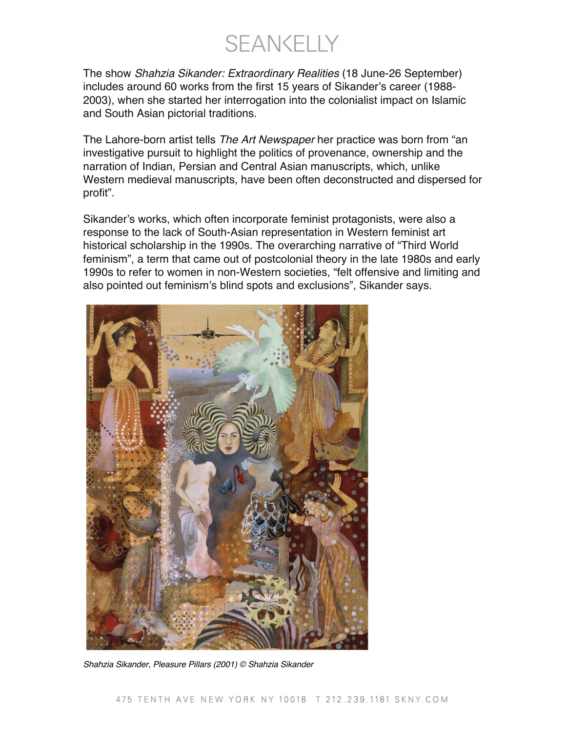**SEANKELLY** 

The show *Shahzia Sikander: Extraordinary Realities* (18 June-26 September) includes around 60 works from the first 15 years of Sikander's career (1988- 2003), when she started her interrogation into the colonialist impact on Islamic and South Asian pictorial traditions.

The Lahore-born artist tells *The Art Newspaper* her practice was born from "an investigative pursuit to highlight the politics of provenance, ownership and the narration of Indian, Persian and Central Asian manuscripts, which, unlike Western medieval manuscripts, have been often deconstructed and dispersed for profit".

Sikander's works, which often incorporate feminist protagonists, were also a response to the lack of South-Asian representation in Western feminist art historical scholarship in the 1990s. The overarching narrative of "Third World feminism", a term that came out of postcolonial theory in the late 1980s and early 1990s to refer to women in non-Western societies, "felt offensive and limiting and also pointed out feminism's blind spots and exclusions", Sikander says.



*Shahzia Sikander, Pleasure Pillars (2001) © Shahzia Sikander*